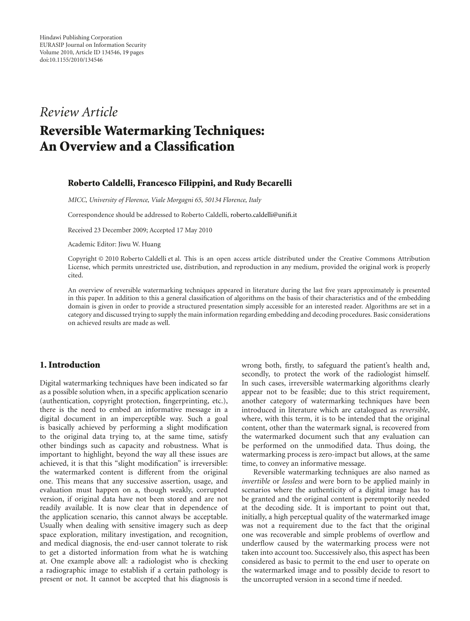# *Review Article* **Reversible Watermarking Techniques: An Overview and a Classification**

## **Roberto Caldelli, Francesco Filippini, and Rudy Becarelli**

*MICC, University of Florence, Viale Morgagni 65, 50134 Florence, Italy*

Correspondence should be addressed to Roberto Caldelli, roberto.caldelli@unifi.it

Received 23 December 2009; Accepted 17 May 2010

Academic Editor: Jiwu W. Huang

Copyright © 2010 Roberto Caldelli et al. This is an open access article distributed under the Creative Commons Attribution License, which permits unrestricted use, distribution, and reproduction in any medium, provided the original work is properly cited.

An overview of reversible watermarking techniques appeared in literature during the last five years approximately is presented in this paper. In addition to this a general classification of algorithms on the basis of their characteristics and of the embedding domain is given in order to provide a structured presentation simply accessible for an interested reader. Algorithms are set in a category and discussed trying to supply the main information regarding embedding and decoding procedures. Basic considerations on achieved results are made as well.

## **1. Introduction**

Digital watermarking techniques have been indicated so far as a possible solution when, in a specific application scenario (authentication, copyright protection, fingerprinting, etc.), there is the need to embed an informative message in a digital document in an imperceptible way. Such a goal is basically achieved by performing a slight modification to the original data trying to, at the same time, satisfy other bindings such as capacity and robustness. What is important to highlight, beyond the way all these issues are achieved, it is that this "slight modification" is irreversible: the watermarked content is different from the original one. This means that any successive assertion, usage, and evaluation must happen on a, though weakly, corrupted version, if original data have not been stored and are not readily available. It is now clear that in dependence of the application scenario, this cannot always be acceptable. Usually when dealing with sensitive imagery such as deep space exploration, military investigation, and recognition, and medical diagnosis, the end-user cannot tolerate to risk to get a distorted information from what he is watching at. One example above all: a radiologist who is checking a radiographic image to establish if a certain pathology is present or not. It cannot be accepted that his diagnosis is

wrong both, firstly, to safeguard the patient's health and, secondly, to protect the work of the radiologist himself. In such cases, irreversible watermarking algorithms clearly appear not to be feasible; due to this strict requirement, another category of watermarking techniques have been introduced in literature which are catalogued as *reversible*, where, with this term, it is to be intended that the original content, other than the watermark signal, is recovered from the watermarked document such that any evaluation can be performed on the unmodified data. Thus doing, the watermarking process is zero-impact but allows, at the same time, to convey an informative message.

Reversible watermarking techniques are also named as *invertible* or *lossless* and were born to be applied mainly in scenarios where the authenticity of a digital image has to be granted and the original content is peremptorily needed at the decoding side. It is important to point out that, initially, a high perceptual quality of the watermarked image was not a requirement due to the fact that the original one was recoverable and simple problems of overflow and underflow caused by the watermarking process were not taken into account too. Successively also, this aspect has been considered as basic to permit to the end user to operate on the watermarked image and to possibly decide to resort to the uncorrupted version in a second time if needed.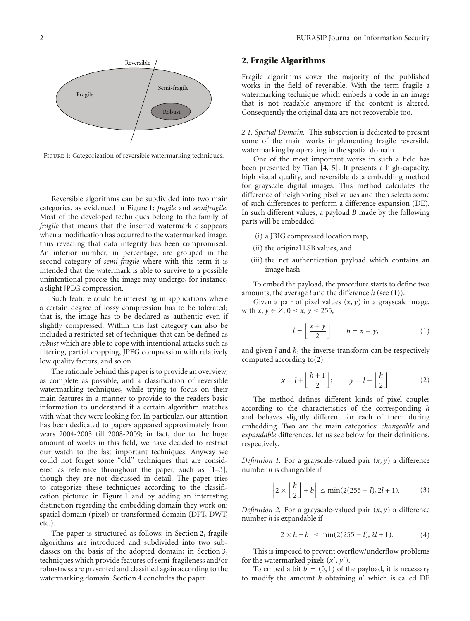

FIGURE 1: Categorization of reversible watermarking techniques.

Reversible algorithms can be subdivided into two main categories, as evidenced in Figure 1: *fragile* and *semifragile*. Most of the developed techniques belong to the family of *fragile* that means that the inserted watermark disappears when a modification has occurred to the watermarked image, thus revealing that data integrity has been compromised. An inferior number, in percentage, are grouped in the second category of *semi-fragile* where with this term it is intended that the watermark is able to survive to a possible unintentional process the image may undergo, for instance, a slight JPEG compression.

Such feature could be interesting in applications where a certain degree of lossy compression has to be tolerated; that is, the image has to be declared as authentic even if slightly compressed. Within this last category can also be included a restricted set of techniques that can be defined as *robust* which are able to cope with intentional attacks such as filtering, partial cropping, JPEG compression with relatively low quality factors, and so on.

The rationale behind this paper is to provide an overview, as complete as possible, and a classification of reversible watermarking techniques, while trying to focus on their main features in a manner to provide to the readers basic information to understand if a certain algorithm matches with what they were looking for. In particular, our attention has been dedicated to papers appeared approximately from years 2004-2005 till 2008-2009; in fact, due to the huge amount of works in this field, we have decided to restrict our watch to the last important techniques. Anyway we could not forget some "old" techniques that are considered as reference throughout the paper, such as [1–3], though they are not discussed in detail. The paper tries to categorize these techniques according to the classification pictured in Figure 1 and by adding an interesting distinction regarding the embedding domain they work on: spatial domain (pixel) or transformed domain (DFT, DWT, etc.).

The paper is structured as follows: in Section 2, fragile algorithms are introduced and subdivided into two subclasses on the basis of the adopted domain; in Section 3, techniques which provide features of semi-fragileness and/or robustness are presented and classified again according to the watermarking domain. Section 4 concludes the paper.

## **2. Fragile Algorithms**

Fragile algorithms cover the majority of the published works in the field of reversible. With the term fragile a watermarking technique which embeds a code in an image that is not readable anymore if the content is altered. Consequently the original data are not recoverable too.

*2.1. Spatial Domain.* This subsection is dedicated to present some of the main works implementing fragile reversible watermarking by operating in the spatial domain.

One of the most important works in such a field has been presented by Tian [4, 5]. It presents a high-capacity, high visual quality, and reversible data embedding method for grayscale digital images. This method calculates the difference of neighboring pixel values and then selects some of such differences to perform a difference expansion (DE). In such different values, a payload *B* made by the following parts will be embedded:

- (i) a JBIG compressed location map,
- (ii) the original LSB values, and
- (iii) the net authentication payload which contains an image hash.

To embed the payload, the procedure starts to define two amounts, the average *l* and the difference *h* (see (1)).

Given a pair of pixel values  $(x, y)$  in a grayscale image, *with x*, *y* ∈ *Z*, 0 ≤ *x*, *y* ≤ 255,

$$
l = \left\lfloor \frac{x+y}{2} \right\rfloor \qquad h = x - y,\tag{1}
$$

and given *l* and *h*, the inverse transform can be respectively computed according to(2)

$$
x = l + \left\lfloor \frac{h+1}{2} \right\rfloor; \qquad y = l - \left\lfloor \frac{h}{2} \right\rfloor. \tag{2}
$$

The method defines different kinds of pixel couples according to the characteristics of the corresponding *h* and behaves slightly different for each of them during embedding. Two are the main categories: *changeable* and *expandable* differences, let us see below for their definitions, respectively.

*Definition 1.* For a grayscale-valued pair (*x*, *y*) a difference number *h* is changeable if

$$
\left|2 \times \left\lfloor \frac{h}{2} \right\rfloor + b\right| \le \min(2(255 - l), 2l + 1). \tag{3}
$$

*Definition 2.* For a grayscale-valued pair  $(x, y)$  a difference number *h* is expandable if

$$
|2 \times h + b| \le \min(2(255 - l), 2l + 1). \tag{4}
$$

This is imposed to prevent overflow/underflow problems for the watermarked pixels  $(x', y')$ .

To embed a bit  $b = (0, 1)$  of the payload, it is necessary to modify the amount  $h$  obtaining  $h'$  which is called DE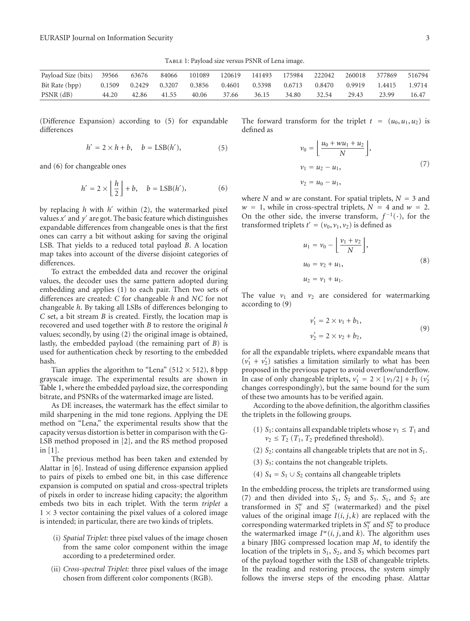Table 1: Payload size versus PSNR of Lena image.

| Payload Size (bits) | 39566  | 63676  | 84066  | 101089 | 120619 | 141493 | 175984 | 222042 | 260018 | 377869 | 516794 |
|---------------------|--------|--------|--------|--------|--------|--------|--------|--------|--------|--------|--------|
| Bit Rate (bpp)      | 0.1509 | 0.2429 | 0.3207 | 0.3856 | 0.4601 | 0.5398 | 0.6713 | 0.8470 | 0.9919 | 1.4415 | 1.9714 |
| $PSNR$ (dB)         | 44.20  | 42.86  | 41.55  | 40.06  | 37.66  | 36.15  | 34.80  | 32.54  | 29.43  | 23.99  | 16.47  |

(Difference Expansion) according to (5) for expandable differences

$$
h' = 2 \times h + b, \quad b = \text{LSB}(h'), \tag{5}
$$

and (6) for changeable ones

$$
h' = 2 \times \left\lfloor \frac{h}{2} \right\rfloor + b, \quad b = \text{LSB}(h'), \tag{6}
$$

by replacing *h* with *h'* within (2), the watermarked pixel values  $x'$  and  $y'$  are got. The basic feature which distinguishes expandable differences from changeable ones is that the first ones can carry a bit without asking for saving the original LSB. That yields to a reduced total payload *B*. A location map takes into account of the diverse disjoint categories of differences.

To extract the embedded data and recover the original values, the decoder uses the same pattern adopted during embedding and applies (1) to each pair. Then two sets of differences are created: *C* for changeable *h* and *NC* for not changeable *h*. By taking all LSBs of differences belonging to *C* set, a bit stream *B* is created. Firstly, the location map is recovered and used together with *B* to restore the original *h* values; secondly, by using (2) the original image is obtained, lastly, the embedded payload (the remaining part of *B*) is used for authentication check by resorting to the embedded hash.

Tian applies the algorithm to "Lena" ( $512 \times 512$ ), 8 bpp grayscale image. The experimental results are shown in Table 1, where the embedded payload size, the corresponding bitrate, and PSNRs of the watermarked image are listed.

As DE increases, the watermark has the effect similar to mild sharpening in the mid tone regions. Applying the DE method on "Lena," the experimental results show that the capacity versus distortion is better in comparison with the G-LSB method proposed in [2], and the RS method proposed in [1].

The previous method has been taken and extended by Alattar in [6]. Instead of using difference expansion applied to pairs of pixels to embed one bit, in this case difference expansion is computed on spatial and cross-spectral triplets of pixels in order to increase hiding capacity; the algorithm embeds two bits in each triplet. With the term *triplet* a  $1 \times 3$  vector containing the pixel values of a colored image is intended; in particular, there are two kinds of triplets.

- (i) *Spatial Triplet:* three pixel values of the image chosen from the same color component within the image according to a predetermined order.
- (ii) *Cross-spectral Triplet:* three pixel values of the image chosen from different color components (RGB).

The forward transform for the triplet  $t = (u_0, u_1, u_2)$  is defined as

$$
\begin{aligned} v_0 &= \left[ \frac{u_0 + w u_1 + u_2}{N} \right], \\ v_1 &= u_2 - u_1, \\ v_2 &= u_0 - u_1, \end{aligned} \tag{7}
$$

where *N* and *w* are constant. For spatial triplets,  $N = 3$  and  $w = 1$ , while in cross-spectral triplets,  $N = 4$  and  $w = 2$ . On the other side, the inverse transform, *<sup>f</sup>* <sup>−</sup>1(·), for the transformed triplets  $t' = (v_0, v_1, v_2)$  is defined as

$$
u_1 = v_0 - \left[ \frac{v_1 + v_2}{N} \right],
$$
  
\n
$$
u_0 = v_2 + u_1,
$$
  
\n
$$
u_2 = v_1 + u_1.
$$
\n(8)

The value  $v_1$  and  $v_2$  are considered for watermarking according to (9)

$$
\begin{aligned} v_1' &= 2 \times v_1 + b_1, \\ v_2' &= 2 \times v_2 + b_2, \end{aligned} \tag{9}
$$

for all the expandable triplets, where expandable means that  $(v'_1 + v'_2)$  satisfies a limitation similarly to what has been proposed in the previous paper to avoid overflow/underflow. In case of only changeable triplets,  $v'_1 = 2 \times \left[ \frac{v_1}{2} \right] + b_1 \left( \frac{v'_2}{2} \right)$ changes correspondingly), but the same bound for the sum of these two amounts has to be verified again.

According to the above definition, the algorithm classifies the triplets in the following groups.

- (1) *S*<sub>1</sub>: contains all expandable triplets whose  $v_1 \leq T_1$  and  $v_2 \leq T_2$  ( $T_1$ ,  $T_2$  predefined threshold).
- (2) *S*2: contains all changeable triplets that are not in *S*1.
- (3) *S*3: contains the not changeable triplets.
- (4)  $S_4 = S_1 \cup S_2$  contains all changeable triplets

In the embedding process, the triplets are transformed using (7) and then divided into  $S_1$ ,  $S_2$  and  $S_3$ .  $S_1$ , and  $S_2$  are transformed in  $S_1^w$  and  $S_2^w$  (watermarked) and the pixel values of the original image  $I(i, j, k)$  are replaced with the corresponding watermarked triplets in  $S_1^w$  and  $S_2^w$  to produce the watermarked image  $I^w(i, j, \text{and } k)$ . The algorithm uses a binary JBIG compressed location map *M*, to identify the location of the triplets in *S*1, *S*2, and *S*<sup>3</sup> which becomes part of the payload together with the LSB of changeable triplets. In the reading and restoring process, the system simply follows the inverse steps of the encoding phase. Alattar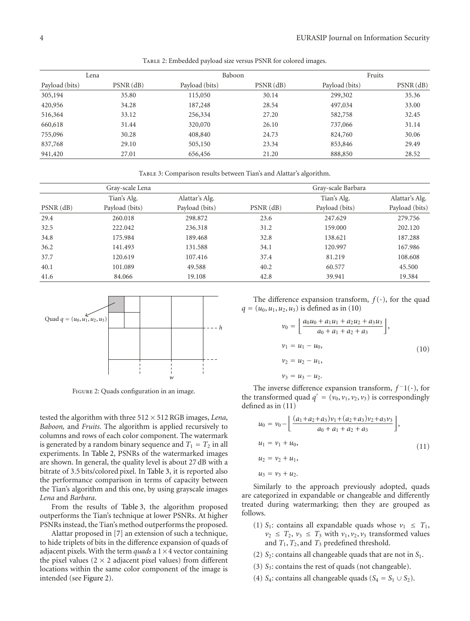| Lena           |             | Baboon         |             | Fruits         |             |
|----------------|-------------|----------------|-------------|----------------|-------------|
| Payload (bits) | $PSNR$ (dB) | Payload (bits) | $PSNR$ (dB) | Payload (bits) | $PSNR$ (dB) |
| 305,194        | 35.80       | 115,050        | 30.14       | 299,302        | 35.36       |
| 420,956        | 34.28       | 187,248        | 28.54       | 497,034        | 33.00       |
| 516,364        | 33.12       | 256,334        | 27.20       | 582,758        | 32.45       |
| 660,618        | 31.44       | 320,070        | 26.10       | 737,066        | 31.14       |
| 755,096        | 30.28       | 408,840        | 24.73       | 824,760        | 30.06       |
| 837,768        | 29.10       | 505,150        | 23.34       | 853,846        | 29.49       |
| 941,420        | 27.01       | 656,456        | 21.20       | 888,850        | 28.52       |

TABLE 2: Embedded payload size versus PSNR for colored images.

Table 3: Comparison results between Tian's and Alattar's algorithm.

|             | Gray-scale Lena |                | Gray-scale Barbara |                |                |  |
|-------------|-----------------|----------------|--------------------|----------------|----------------|--|
|             | Tian's Alg.     | Alattar's Alg. |                    | Tian's Alg.    | Alattar's Alg. |  |
| $PSNR$ (dB) | Payload (bits)  | Payload (bits) | $PSNR$ (dB)        | Payload (bits) | Payload (bits) |  |
| 29.4        | 260.018         | 298.872        | 23.6               | 247.629        | 279.756        |  |
| 32.5        | 222.042         | 236.318        | 31.2               | 159,000        | 202.120        |  |
| 34.8        | 175.984         | 189.468        | 32.8               | 138.621        | 187.288        |  |
| 36.2        | 141.493         | 131.588        | 34.1               | 120.997        | 167.986        |  |
| 37.7        | 120.619         | 107.416        | 37.4               | 81.219         | 108.608        |  |
| 40.1        | 101.089         | 49.588         | 40.2               | 60.577         | 45.500         |  |
| 41.6        | 84.066          | 19.108         | 42.8               | 39.941         | 19.384         |  |



Figure 2: Quads configuration in an image.

tested the algorithm with three 512 × 512 RGB images, *Lena*, *Baboon,* and *Fruits*. The algorithm is applied recursively to columns and rows of each color component. The watermark is generated by a random binary sequence and  $T_1 = T_2$  in all experiments. In Table 2, PSNRs of the watermarked images are shown. In general, the quality level is about 27 dB with a bitrate of 3.5 bits/colored pixel. In Table 3, it is reported also the performance comparison in terms of capacity between the Tian's algorithm and this one, by using grayscale images *Lena* and *Barbara*.

From the results of Table 3, the algorithm proposed outperforms the Tian's technique at lower PSNRs. At higher PSNRs instead, the Tian's method outperforms the proposed.

Alattar proposed in [7] an extension of such a technique, to hide triplets of bits in the difference expansion of quads of adjacent pixels. With the term *quads* a 1×4 vector containing the pixel values  $(2 \times 2$  adjacent pixel values) from different locations within the same color component of the image is intended (see Figure 2).

The difference expansion transform,  $f(\cdot)$ , for the quad  $q = (u_0, u_1, u_2, u_3)$  is defined as in (10)

$$
\nu_0 = \left[ \frac{a_0 u_0 + a_1 u_1 + a_2 u_2 + a_3 u_3}{a_0 + a_1 + a_2 + a_3} \right],
$$
  
\n
$$
\nu_1 = u_1 - u_0,
$$
  
\n
$$
\nu_2 = u_2 - u_1,
$$
  
\n
$$
\nu_3 = u_3 - u_2.
$$
  
\n(10)

The inverse difference expansion transform, *<sup>f</sup>* <sup>−</sup>1(·), for the transformed quad  $q' = (v_0, v_1, v_2, v_3)$  is correspondingly defined as in (11)

$$
u_0 = v_0 - \left[ \frac{(a_1 + a_2 + a_3)v_1 + (a_2 + a_3)v_2 + a_3v_3}{a_0 + a_1 + a_2 + a_3} \right],
$$
  
\n
$$
u_1 = v_1 + u_0,
$$
  
\n
$$
u_2 = v_2 + u_1,
$$
  
\n
$$
u_3 = v_3 + u_2.
$$
\n(11)

Similarly to the approach previously adopted, quads are categorized in expandable or changeable and differently treated during watermarking; then they are grouped as follows.

- (1) *S*<sub>1</sub>: contains all expandable quads whose  $v_1 \leq T_1$ ,  $v_2 \leq T_2$ ,  $v_3 \leq T_3$  with  $v_1, v_2, v_3$  transformed values and *T*1,*T*2, and *T*<sup>3</sup> predefined threshold.
- (2) *S*2: contains all changeable quads that are not in *S*1.
- (3) *S*3: contains the rest of quads (not changeable).
- (4) *S*<sub>4</sub>: contains all changeable quads  $(S_4 = S_1 \cup S_2)$ .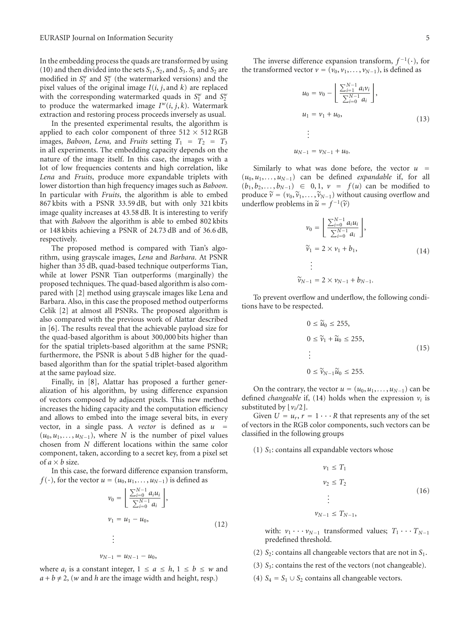In the embedding process the quads are transformed by using (10) and then divided into the sets  $S_1$ ,  $S_2$ , and  $S_3$ .  $S_1$  and  $S_2$  are modified in  $S_1^w$  and  $S_2^w$  (the watermarked versions) and the pixel values of the original image *I*(*i*, *j*, and *k*) are replaced with the corresponding watermarked quads in  $S_1^w$  and  $S_2^w$ to produce the watermarked image  $I^w(i, j, k)$ . Watermark extraction and restoring process proceeds inversely as usual.

In the presented experimental results, the algorithm is applied to each color component of three  $512 \times 512$  RGB images, *Baboon*, *Lena*, and *Fruits* setting  $T_1 = T_2 = T_3$ in all experiments. The embedding capacity depends on the nature of the image itself. In this case, the images with a lot of low frequencies contents and high correlation, like *Lena* and *Fruits*, produce more expandable triplets with lower distortion than high frequency images such as *Baboon*. In particular with *Fruits*, the algorithm is able to embed 867 kbits with a PSNR 33*.*59 dB, but with only 321 kbits image quality increases at 43*.*58 dB. It is interesting to verify that with *Baboon* the algorithm is able to embed 802 kbits or 148 kbits achieving a PSNR of 24*.*73 dB and of 36*.*6 dB, respectively.

The proposed method is compared with Tian's algorithm, using grayscale images, *Lena* and *Barbara*. At PSNR higher than 35 dB, quad-based technique outperforms Tian, while at lower PSNR Tian outperforms (marginally) the proposed techniques. The quad-based algorithm is also compared with [2] method using grayscale images like Lena and Barbara. Also, in this case the proposed method outperforms Celik [2] at almost all PSNRs. The proposed algorithm is also compared with the previous work of Alattar described in [6]. The results reveal that the achievable payload size for the quad-based algorithm is about 300,000 bits higher than for the spatial triplets-based algorithm at the same PSNR; furthermore, the PSNR is about 5 dB higher for the quadbased algorithm than for the spatial triplet-based algorithm at the same payload size.

Finally, in [8], Alattar has proposed a further generalization of his algorithm, by using difference expansion of vectors composed by adjacent pixels. This new method increases the hiding capacity and the computation efficiency and allows to embed into the image several bits, in every vector, in a single pass. A *vector* is defined as  $u =$  $(u_0, u_1, \ldots, u_{N-1})$ , where *N* is the number of pixel values chosen from *N* different locations within the same color component, taken, according to a secret key, from a pixel set of  $a \times b$  size.

In this case, the forward difference expansion transform, *f* ( $\cdot$ ), for the vector *u* = ( $u_0, u_1, \ldots, u_{N-1}$ ) is defined as

$$
\nu_0 = \left[ \frac{\sum_{i=0}^{N-1} a_i u_i}{\sum_{i=0}^{N-1} a_i} \right],
$$
  
\n
$$
\nu_1 = u_1 - u_0,
$$
  
\n
$$
\vdots
$$
  
\n(12)

$$
v_{N-1}=u_{N-1}-u_0,
$$

where  $a_i$  is a constant integer,  $1 \le a \le h$ ,  $1 \le b \le w$  and  $a + b \neq 2$ , (*w* and *h* are the image width and height, resp.)

The inverse difference expansion transform,  $f^{-1}(\cdot)$ , for the transformed vector  $v = (v_0, v_1, \ldots, v_{N-1})$ , is defined as

$$
u_0 = v_0 - \left[ \frac{\sum_{i=1}^{N-1} a_i v_i}{\sum_{i=0}^{N-1} a_i} \right],
$$
  
\n
$$
u_1 = v_1 + u_0,
$$
  
\n
$$
\vdots
$$
  
\n
$$
u_{N-1} = v_{N-1} + u_0.
$$
  
\n(13)

Similarly to what was done before, the vector  $u =$  $(u_0, u_1, \ldots, u_{N-1})$  can be defined *expandable* if, for all  $(b_1, b_2, \ldots, b_{N-1})$  ∈ 0, 1,  $\nu = f(u)$  can be modified to produce  $\widetilde{\nu} = (\nu_0, \widetilde{\nu}_1, \dots, \widetilde{\nu}_{N-1})$  without causing overflow and underflow problems in  $\widetilde{u} = f^{-1}(\widetilde{v})$ 

$$
\nu_0 = \left[ \frac{\sum_{i=0}^{N-1} a_i u_i}{\sum_{i=0}^{N-1} a_i} \right],
$$
  
\n
$$
\widetilde{\nu}_1 = 2 \times \nu_1 + b_1,
$$
  
\n
$$
\vdots
$$
  
\n
$$
\widetilde{\nu}_{N-1} = 2 \times \nu_{N-1} + b_{N-1}.
$$
\n(14)

To prevent overflow and underflow, the following conditions have to be respected.

$$
0 \le \widetilde{u}_0 \le 255,
$$
  
\n
$$
0 \le \widetilde{v}_1 + \widetilde{u}_0 \le 255,
$$
  
\n
$$
\vdots
$$
  
\n
$$
0 \le \widetilde{v}_{N-1}\widetilde{u}_0 \le 255.
$$
  
\n(15)

On the contrary, the vector  $u = (u_0, u_1, \ldots, u_{N-1})$  can be defined *changeable* if, (14) holds when the expression  $v_i$  is substituted by  $|v_i/2|$ .

Given  $U = u_r$ ,  $r = 1 \cdots R$  that represents any of the set of vectors in the RGB color components, such vectors can be classified in the following groups

(1) *S*1: contains all expandable vectors whose

$$
\nu_1 \le T_1
$$
  
\n
$$
\nu_2 \le T_2
$$
  
\n
$$
\vdots
$$
  
\n
$$
\nu_{N-1} \le T_{N-1},
$$
  
\n(16)

with:  $v_1 \cdots v_{N-1}$  transformed values;  $T_1 \cdots T_{N-1}$ predefined threshold.

(2) *S*2: contains all changeable vectors that are not in *S*1.

- (3) *S*3: contains the rest of the vectors (not changeable).
- (4)  $S_4 = S_1 \cup S_2$  contains all changeable vectors.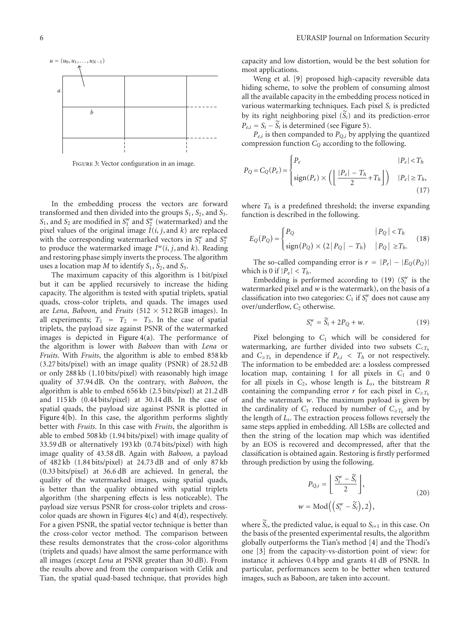

FIGURE 3: Vector configuration in an image.

In the embedding process the vectors are forward transformed and then divided into the groups *S*1, *S*2, and *S*3.  $S_1$ , and  $S_2$  are modified in  $S_1^w$  and  $S_2^w$  (watermarked) and the pixel values of the original image *I*(*i*, *j*, and *k*) are replaced with the corresponding watermarked vectors in  $S_1^w$  and  $S_2^w$ to produce the watermarked image  $I^w(i, j, \text{and } k)$ . Reading and restoring phase simply inverts the process. The algorithm uses a location map *M* to identify *S*1, *S*2, and *S*3.

The maximum capacity of this algorithm is 1 bit/pixel but it can be applied recursively to increase the hiding capacity. The algorithm is tested with spatial triplets, spatial quads, cross-color triplets, and quads. The images used are *Lena*, *Baboon,* and *Fruits* (512 × 512 RGB images). In all experiments;  $T_1 = T_2 = T_3$ . In the case of spatial triplets, the payload size against PSNR of the watermarked images is depicted in Figure 4(a). The performance of the algorithm is lower with *Baboon* than with *Lena* or *Fruits*. With *Fruits*, the algorithm is able to embed 858 kb (3.27 bits/pixel) with an image quality (PSNR) of 28.52 dB or only 288 kb (1.10 bits/pixel) with reasonably high image quality of 37.94 dB. On the contrary, with *Baboon*, the algorithm is able to embed 656 kb (2.5 bits/pixel) at 21.2 dB and 115 kb (0.44 bits/pixel) at 30.14 dB. In the case of spatial quads, the payload size against PSNR is plotted in Figure 4(b). In this case, the algorithm performs slightly better with *Fruits*. In this case with *Fruits*, the algorithm is able to embed 508 kb (1.94 bits/pixel) with image quality of 33.59 dB or alternatively 193 kb (0.74 bits/pixel) with high image quality of 43.58 dB. Again with *Baboon,* a payload of 482 kb (1.84 bits/pixel) at 24.73 dB and of only 87 kb (0.33 bits/pixel) at 36.6 dB are achieved. In general, the quality of the watermarked images, using spatial quads, is better than the quality obtained with spatial triplets algorithm (the sharpening effects is less noticeable). The payload size versus PSNR for cross-color triplets and crosscolor quads are shown in Figures  $4(c)$  and  $4(d)$ , respectively. For a given PSNR, the spatial vector technique is better than the cross-color vector method. The comparison between these results demonstrates that the cross-color algorithms (triplets and quads) have almost the same performance with all images (except *Lena* at PSNR greater than 30 dB). From the results above and from the comparison with Celik and Tian, the spatial quad-based technique, that provides high

capacity and low distortion, would be the best solution for most applications.

Weng et al. [9] proposed high-capacity reversible data hiding scheme, to solve the problem of consuming almost all the available capacity in the embedding process noticed in various watermarking techniques. Each pixel *Si* is predicted by its right neighboring pixel  $(\widetilde{S}_i)$  and its prediction-error  $P_{e,i} = S_i - \widetilde{S}_i$  is determined (see Figure 5).

 $P_{e,i}$  is then companded to  $P_{Q,i}$  by applying the quantized compression function  $C_Q$  according to the following.

$$
P_Q = C_Q(P_e) = \begin{cases} P_e & |P_e| < T_h \\ \text{sign}(P_e) \times \left( \left\lfloor \frac{|P_e| - T_h}{2} + T_h \right\rfloor \right) & |P_e| \ge T_h, \end{cases}
$$
(17)

where  $T_h$  is a predefined threshold; the inverse expanding function is described in the following.

$$
E_{Q}(P_{Q}) = \begin{cases} P_{Q} & |P_{Q}| < T_{h} \\ sign(P_{Q}) \times (2|P_{Q}| - T_{h}) & |P_{Q}| \ge T_{h}. \end{cases}
$$
(18)

The so-called companding error is  $r = |P_e| - |E_Q(P_Q)|$ which is 0 if  $|P_e| < T_h$ .

Embedding is performed according to (19)  $(S_i^w)$  is the watermarked pixel and *w* is the watermark), on the basis of a classification into two categories:  $C_1$  if  $S_i^w$  does not cause any over/underflow,  $C_2$  otherwise.

$$
S_i^w = \widetilde{S}_i + 2P_Q + w. \tag{19}
$$

Pixel belonging to  $C_1$  which will be considered for watermarking, are further divided into two subsets *C<Th* and  $C_{\geq T_h}$  in dependence if  $P_{e,i} < T_h$  or not respectively. The information to be embedded are: a lossless compressed location map, containing 1 for all pixels in  $C_1$  and 0 for all pixels in *C*2, whose length is *Ls*, the bitstream *R* containing the companding error *r* for each pixel in  $C_{\geq T_h}$ and the watermark *w*. The maximum payload is given by the cardinality of  $C_1$  reduced by number of  $C_{\geq T_h}$  and by the length of *Ls*. The extraction process follows reversely the same steps applied in embedding. All LSBs are collected and then the string of the location map which was identified by an EOS is recovered and decompressed, after that the classification is obtained again. Restoring is firstly performed through prediction by using the following.

$$
P_{Q,i} = \left[ \frac{S_i^w - \widetilde{S}_i}{2} \right],
$$
  

$$
w = \text{Mod}\left( \left( S_i^w - \widetilde{S}_i \right), 2 \right),
$$
 (20)

where  $\widetilde{S}_i$ , the predicted value, is equal to  $S_{i+1}$  in this case. On the basis of the presented experimental results, the algorithm globally outperforms the Tian's method [4] and the Thodi's one [3] from the capacity-vs-distortion point of view: for instance it achieves 0*.*4 bpp and grants 41 dB of PSNR. In particular, performances seem to be better when textured images, such as Baboon, are taken into account.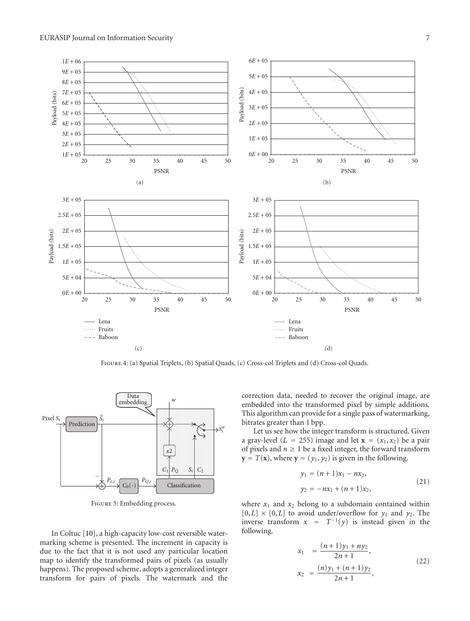

Figure 4: (a) Spatial Triplets, (b) Spatial Quads, (c) Cross-col Triplets and (d) Cross-col Quads.



Figure 5: Embedding process.

In Coltuc [10], a high-capacity low-cost reversible watermarking scheme is presented. The increment in capacity is due to the fact that it is not used any particular location map to identify the transformed pairs of pixels (as usually happens). The proposed scheme, adopts a generalized integer transform for pairs of pixels. The watermark and the correction data, needed to recover the original image, are embedded into the transformed pixel by simple additions. This algorithm can provide for a single pass of watermarking, bitrates greater than 1 bpp.

Let us see how the integer transform is structured. Given a gray-level ( $L = 255$ ) image and let  $\mathbf{x} = (x_1, x_2)$  be a pair of pixels and  $n \geq 1$  be a fixed integer, the forward transform  $\mathbf{y} = T(\mathbf{x})$ , where  $\mathbf{y} = (y_1, y_2)$  is given in the following.

$$
y_1 = (n+1)x_1 - nx_2,
$$
  

$$
y_2 = -nx_1 + (n+1)x_2,
$$
 (21)

where  $x_1$  and  $x_2$  belong to a subdomain contained within  $[0, L] \times [0, L]$  to avoid under/overflow for  $y_1$  and  $y_2$ . The inverse transform  $x = T^{-1}(y)$  is instead given in the following.

$$
x_1 = \frac{(n+1)y_1 + n y_2}{2n+1},
$$
  
\n
$$
x_2 = \frac{(n)y_1 + (n+1)y_2}{2n+1},
$$
\n(22)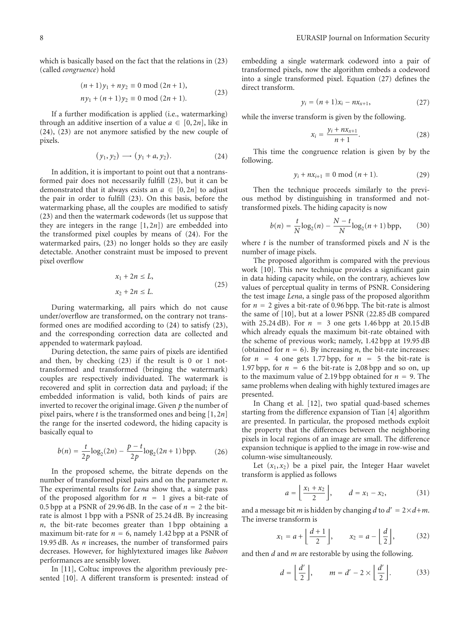which is basically based on the fact that the relations in (23) (called *congruence*) hold

$$
(n+1)y_1 + ny_2 \equiv 0 \mod (2n+1),
$$
  
\n
$$
ny_1 + (n+1)y_2 \equiv 0 \mod (2n+1).
$$
\n(23)

If a further modification is applied (i.e., watermarking) through an additive insertion of a value  $a \in [0, 2n]$ , like in (24), (23) are not anymore satisfied by the new couple of pixels.

$$
(y_1, y_2) \longrightarrow (y_1 + a, y_2). \tag{24}
$$

In addition, it is important to point out that a nontransformed pair does not necessarily fulfill (23), but it can be demonstrated that it always exists an  $a \in [0, 2n]$  to adjust the pair in order to fulfill (23). On this basis, before the watermarking phase, all the couples are modified to satisfy (23) and then the watermark codewords (let us suppose that they are integers in the range  $[1, 2n]$  are embedded into the transformed pixel couples by means of (24). For the watermarked pairs, (23) no longer holds so they are easily detectable. Another constraint must be imposed to prevent pixel overflow

$$
x_1 + 2n \le L,
$$
  
\n
$$
x_2 + 2n \le L.
$$
\n(25)

During watermarking, all pairs which do not cause under/overflow are transformed, on the contrary not transformed ones are modified according to (24) to satisfy (23), and the corresponding correction data are collected and appended to watermark payload.

During detection, the same pairs of pixels are identified and then, by checking (23) if the result is 0 or 1 nottransformed and transformed (bringing the watermark) couples are respectively individuated. The watermark is recovered and split in correction data and payload; if the embedded information is valid, both kinds of pairs are inverted to recover the original image. Given *p* the number of pixel pairs, where *t* is the transformed ones and being [1, 2*n*] the range for the inserted codeword, the hiding capacity is basically equal to

$$
b(n) = \frac{t}{2p} \log_2(2n) - \frac{p-t}{2p} \log_2(2n+1) \text{ bpp.}
$$
 (26)

In the proposed scheme, the bitrate depends on the number of transformed pixel pairs and on the parameter *n*. The experimental results for *Lena* show that, a single pass of the proposed algorithm for  $n = 1$  gives a bit-rate of 0.5 bpp at a PSNR of 29.96 dB. In the case of  $n = 2$  the bitrate is almost 1 bpp with a PSNR of 25*.*24 dB. By increasing *n*, the bit-rate becomes greater than 1 bpp obtaining a maximum bit-rate for  $n = 6$ , namely 1.42 bpp at a PSNR of 19.95 dB. As *n* increases, the number of transformed pairs decreases. However, for highlytextured images like *Baboon* performances are sensibly lower.

In [11], Coltuc improves the algorithm previously presented [10]. A different transform is presented: instead of embedding a single watermark codeword into a pair of transformed pixels, now the algorithm embeds a codeword into a single transformed pixel. Equation (27) defines the direct transform.

$$
y_i = (n+1)x_i - nx_{x+1},
$$
 (27)

while the inverse transform is given by the following.

$$
x_i = \frac{y_i + nx_{x+1}}{n+1}.
$$
 (28)

This time the congruence relation is given by by the following.

$$
y_i + nx_{i+1} \equiv 0 \mod (n+1). \tag{29}
$$

Then the technique proceeds similarly to the previous method by distinguishing in transformed and nottransformed pixels. The hiding capacity is now

$$
b(n) = \frac{t}{N} \log_2(n) - \frac{N-t}{N} \log_2(n+1) \text{ bpp}, \qquad (30)
$$

where *t* is the number of transformed pixels and *N* is the number of image pixels.

The proposed algorithm is compared with the previous work [10]. This new technique provides a significant gain in data hiding capacity while, on the contrary, achieves low values of perceptual quality in terms of PSNR. Considering the test image *Lena*, a single pass of the proposed algorithm for  $n = 2$  gives a bit-rate of 0.96 bpp. The bit-rate is almost the same of [10], but at a lower PSNR (22.85 dB compared with 25.24 dB). For  $n = 3$  one gets 1.46 bpp at 20.15 dB which already equals the maximum bit-rate obtained with the scheme of previous work; namely, 1.42 bpp at 19.95 dB (obtained for  $n = 6$ ). By increasing *n*, the bit-rate increases: for  $n = 4$  one gets 1.77 bpp, for  $n = 5$  the bit-rate is 1.97 bpp, for  $n = 6$  the bit-rate is 2,08 bpp and so on, up to the maximum value of 2.19 bpp obtained for  $n = 9$ . The same problems when dealing with highly textured images are presented.

In Chang et al. [12], two spatial quad-based schemes starting from the difference expansion of Tian [4] algorithm are presented. In particular, the proposed methods exploit the property that the differences between the neighboring pixels in local regions of an image are small. The difference expansion technique is applied to the image in row-wise and column-wise simultaneously.

Let  $(x_1, x_2)$  be a pixel pair, the Integer Haar wavelet transform is applied as follows

$$
a = \left\lfloor \frac{x_1 + x_2}{2} \right\rfloor, \qquad d = x_1 - x_2,\tag{31}
$$

and a message bit *m* is hidden by changing *d* to  $d' = 2 \times d + m$ . The inverse transform is

$$
x_1 = a + \left\lfloor \frac{d+1}{2} \right\rfloor, \qquad x_2 = a - \left\lfloor \frac{d}{2} \right\rfloor, \tag{32}
$$

and then *d* and *m* are restorable by using the following.

$$
d = \left\lfloor \frac{d'}{2} \right\rfloor, \qquad m = d' - 2 \times \left\lfloor \frac{d'}{2} \right\rfloor. \tag{33}
$$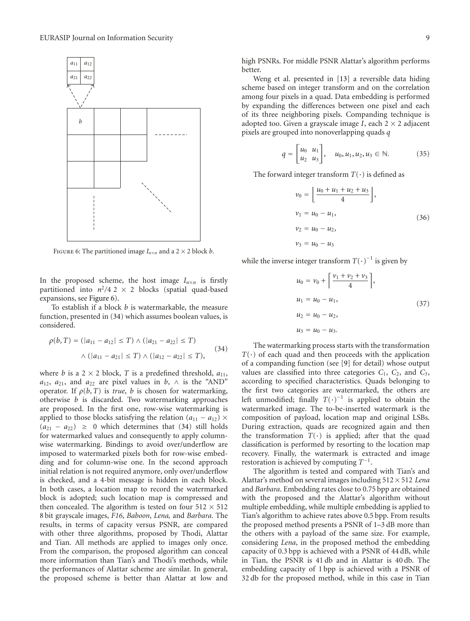

FIGURE 6: The partitioned image  $I_{n\times n}$  and a 2  $\times$  2 block *b*.

In the proposed scheme, the host image  $I_{n\times n}$  is firstly partitioned into  $n^2/4$  2 × 2 blocks (spatial quad-based expansions, see Figure 6).

To establish if a block *b* is watermarkable, the measure function, presented in (34) which assumes boolean values, is considered.

$$
\rho(b, T) = (|a_{11} - a_{12}| \le T) \land (|a_{21} - a_{22}| \le T)
$$
  
 
$$
\land (|a_{11} - a_{21}| \le T) \land (|a_{12} - a_{22}| \le T),
$$
 (34)

where *b* is a  $2 \times 2$  block, *T* is a predefined threshold,  $a_{11}$ ,  $a_{12}$ ,  $a_{21}$ , and  $a_{22}$  are pixel values in *b*,  $\wedge$  is the "AND" operator. If  $\rho(b, T)$  is *true*, *b* is chosen for watermarking, otherwise *b* is discarded. Two watermarking approaches are proposed. In the first one, row-wise watermarking is applied to those blocks satisfying the relation  $(a_{11} - a_{12}) \times$  $(a_{21} - a_{22}) \ge 0$  which determines that (34) still holds for watermarked values and consequently to apply columnwise watermarking. Bindings to avoid over/underflow are imposed to watermarked pixels both for row-wise embedding and for column-wise one. In the second approach initial relation is not required anymore, only over/underflow is checked, and a 4-bit message is hidden in each block. In both cases, a location map to record the watermarked block is adopted; such location map is compressed and then concealed. The algorithm is tested on four  $512 \times 512$ 8 bit grayscale images, *F16*, *Baboon*, *Lena,* and *Barbara*. The results, in terms of capacity versus PSNR, are compared with other three algorithms, proposed by Thodi, Alattar and Tian. All methods are applied to images only once. From the comparison, the proposed algorithm can conceal more information than Tian's and Thodi's methods, while the performances of Alattar scheme are similar. In general, the proposed scheme is better than Alattar at low and

high PSNRs. For middle PSNR Alattar's algorithm performs better.

Weng et al. presented in [13] a reversible data hiding scheme based on integer transform and on the correlation among four pixels in a quad. Data embedding is performed by expanding the differences between one pixel and each of its three neighboring pixels. Companding technique is adopted too. Given a grayscale image *I*, each  $2 \times 2$  adjacent pixels are grouped into nonoverlapping quads *q*

$$
q = \begin{bmatrix} u_0 & u_1 \\ u_2 & u_3 \end{bmatrix}, \quad u_0, u_1, u_2, u_3 \in \mathbb{N}.
$$
 (35)

The forward integer transform  $T(\cdot)$  is defined as

$$
\begin{aligned}\nv_0 &= \left[ \frac{u_0 + u_1 + u_2 + u_3}{4} \right], \\
v_1 &= u_0 - u_1, \\
v_2 &= u_0 - u_2, \\
v_3 &= u_0 - u_3\n\end{aligned} \tag{36}
$$

while the inverse integer transform  $T(\cdot)^{-1}$  is given by

$$
u_0 = v_0 + \left[ \frac{v_1 + v_2 + v_3}{4} \right],
$$
  
\n
$$
u_1 = u_0 - u_1,
$$
  
\n
$$
u_2 = u_0 - u_2,
$$
  
\n
$$
u_3 = u_0 - u_3.
$$
\n(37)

The watermarking process starts with the transformation  $T(\cdot)$  of each quad and then proceeds with the application of a companding function (see [9] for detail) whose output values are classified into three categories  $C_1$ ,  $C_2$ , and  $C_3$ , according to specified characteristics. Quads belonging to the first two categories are watermarked, the others are left unmodified; finally  $T(\cdot)^{-1}$  is applied to obtain the watermarked image. The to-be-inserted watermark is the composition of payload, location map and original LSBs. During extraction, quads are recognized again and then the transformation  $T(\cdot)$  is applied; after that the quad classification is performed by resorting to the location map recovery. Finally, the watermark is extracted and image restoration is achieved by computing *T*−1.

The algorithm is tested and compared with Tian's and Alattar's method on several images including 512×512 *Lena* and *Barbara*. Embedding rates close to 0.75 bpp are obtained with the proposed and the Alattar's algorithm without multiple embedding, while multiple embedding is applied to Tian's algorithm to achieve rates above 0.5 bpp. From results the proposed method presents a PSNR of 1–3 dB more than the others with a payload of the same size. For example, considering *Lena*, in the proposed method the embedding capacity of 0.3 bpp is achieved with a PSNR of 44 dB, while in Tian, the PSNR is 41 db and in Alattar is 40 db. The embedding capacity of 1 bpp is achieved with a PSNR of 32 db for the proposed method, while in this case in Tian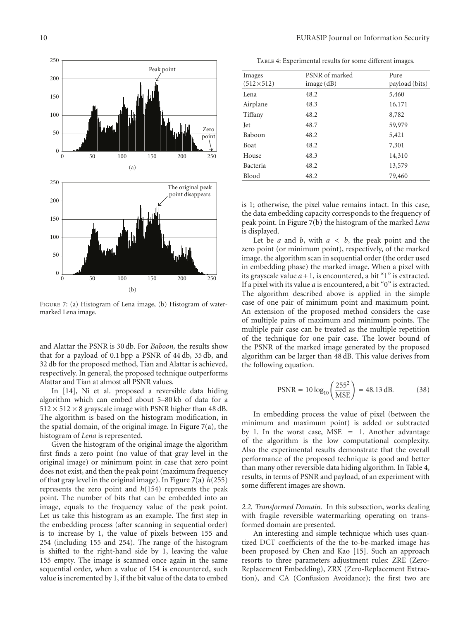

Figure 7: (a) Histogram of Lena image, (b) Histogram of watermarked Lena image.

and Alattar the PSNR is 30 db. For *Baboon,* the results show that for a payload of 0.1 bpp a PSNR of 44 db, 35 db, and 32 db for the proposed method, Tian and Alattar is achieved, respectively. In general, the proposed technique outperforms Alattar and Tian at almost all PSNR values.

In [14], Ni et al. proposed a reversible data hiding algorithm which can embed about 5–80 kb of data for a  $512 \times 512 \times 8$  grayscale image with PSNR higher than 48 dB. The algorithm is based on the histogram modification, in the spatial domain, of the original image. In Figure  $7(a)$ , the histogram of *Lena* is represented.

Given the histogram of the original image the algorithm first finds a zero point (no value of that gray level in the original image) or minimum point in case that zero point does not exist, and then the peak point (maximum frequency of that gray level in the original image). In Figure 7(a) *h*(255) represents the zero point and *h*(154) represents the peak point. The number of bits that can be embedded into an image, equals to the frequency value of the peak point. Let us take this histogram as an example. The first step in the embedding process (after scanning in sequential order) is to increase by 1, the value of pixels between 155 and 254 (including 155 and 254). The range of the histogram is shifted to the right-hand side by 1, leaving the value 155 empty. The image is scanned once again in the same sequential order, when a value of 154 is encountered, such value is incremented by 1, if the bit value of the data to embed

TABLE 4: Experimental results for some different images.

| Images<br>$(512\times512)$ | PSNR of marked<br>image(dB) | Pure<br>payload (bits) |
|----------------------------|-----------------------------|------------------------|
| Lena                       | 48.2                        | 5,460                  |
| Airplane                   | 48.3                        | 16,171                 |
| Tiffany                    | 48.2                        | 8,782                  |
| Jet                        | 48.7                        | 59,979                 |
| Baboon                     | 48.2                        | 5,421                  |
| <b>Boat</b>                | 48.2                        | 7,301                  |
| House                      | 48.3                        | 14,310                 |
| Bacteria                   | 48.2                        | 13,579                 |
| Blood                      | 48.2                        | 79,460                 |

is 1; otherwise, the pixel value remains intact. In this case, the data embedding capacity corresponds to the frequency of peak point. In Figure 7(b) the histogram of the marked *Lena* is displayed.

Let be *a* and *b*, with  $a < b$ , the peak point and the zero point (or minimum point), respectively, of the marked image. the algorithm scan in sequential order (the order used in embedding phase) the marked image. When a pixel with its grayscale value  $a+1$ , is encountered, a bit "1" is extracted. If a pixel with its value *a* is encountered, a bit "0" is extracted. The algorithm described above is applied in the simple case of one pair of minimum point and maximum point. An extension of the proposed method considers the case of multiple pairs of maximum and minimum points. The multiple pair case can be treated as the multiple repetition of the technique for one pair case. The lower bound of the PSNR of the marked image generated by the proposed algorithm can be larger than 48 dB. This value derives from the following equation.

$$
PSNR = 10 \log_{10} \left( \frac{255^2}{MSE} \right) = 48.13 \, \text{dB.} \tag{38}
$$

In embedding process the value of pixel (between the minimum and maximum point) is added or subtracted by 1. In the worst case,  $MSE = 1$ . Another advantage of the algorithm is the low computational complexity. Also the experimental results demonstrate that the overall performance of the proposed technique is good and better than many other reversible data hiding algorithm. In Table 4, results, in terms of PSNR and payload, of an experiment with some different images are shown.

*2.2. Transformed Domain.* In this subsection, works dealing with fragile reversible watermarking operating on transformed domain are presented.

An interesting and simple technique which uses quantized DCT coefficients of the the to-be-marked image has been proposed by Chen and Kao [15]. Such an approach resorts to three parameters adjustment rules: ZRE (Zero-Replacement Embedding), ZRX (Zero-Replacement Extraction), and CA (Confusion Avoidance); the first two are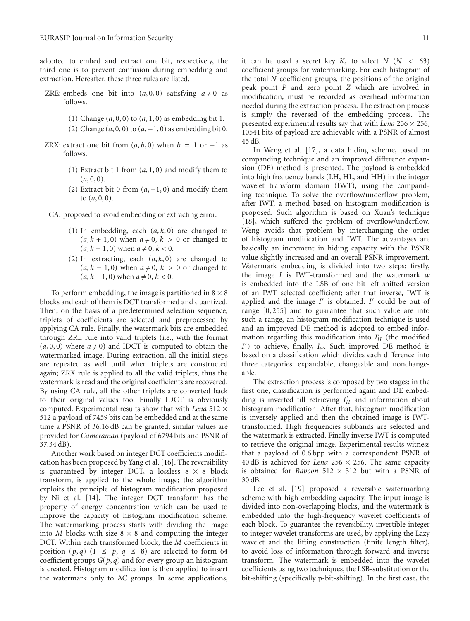adopted to embed and extract one bit, respectively, the third one is to prevent confusion during embedding and extraction. Hereafter, these three rules are listed.

- ZRE: embeds one bit into  $(a, 0, 0)$  satisfying  $a \neq 0$  as follows.
	- (1) Change (*a*, 0, 0) to (*a*, 1, 0) as embedding bit 1.
	- (2) Change (*a*, 0, 0) to (*a*, <sup>−</sup>1, 0) as embedding bit 0.
- ZRX: extract one bit from  $(a, b, 0)$  when  $b = 1$  or  $-1$  as follows.
	- (1) Extract bit 1 from (*a*, 1, 0) and modify them to  $(a, 0, 0).$
	- (2) Extract bit 0 from  $(a, -1, 0)$  and modify them to (*a*, 0, 0).

CA: proposed to avoid embedding or extracting error.

- (1) In embedding, each  $(a, k, 0)$  are changed to  $(a, k + 1, 0)$  when  $a \neq 0, k > 0$  or changed to  $(a, k - 1, 0)$  when  $a \neq 0, k < 0$ .
- (2) In extracting, each  $(a, k, 0)$  are changed to  $(a, k - 1, 0)$  when  $a \neq 0, k > 0$  or changed to  $(a, k + 1, 0)$  when  $a \neq 0, k < 0$ .

To perform embedding, the image is partitioned in  $8 \times 8$ blocks and each of them is DCT transformed and quantized. Then, on the basis of a predetermined selection sequence, triplets of coefficients are selected and preprocessed by applying CA rule. Finally, the watermark bits are embedded through ZRE rule into valid triplets (i.e., with the format  $(a, 0, 0)$  where  $a \neq 0$ ) and IDCT is computed to obtain the watermarked image. During extraction, all the initial steps are repeated as well until when triplets are constructed again; ZRX rule is applied to all the valid triplets, thus the watermark is read and the original coefficients are recovered. By using CA rule, all the other triplets are converted back to their original values too. Finally IDCT is obviously computed. Experimental results show that with *Lena* 512 × 512 a payload of 7459 bits can be embedded and at the same time a PSNR of 36*.*16 dB can be granted; similar values are provided for *Cameraman* (payload of 6794 bits and PSNR of 37*.*34 dB).

Another work based on integer DCT coefficients modification has been proposed by Yang et al. [16]. The reversibility is guaranteed by integer DCT, a lossless  $8 \times 8$  block transform, is applied to the whole image; the algorithm exploits the principle of histogram modification proposed by Ni et al. [14]. The integer DCT transform has the property of energy concentration which can be used to improve the capacity of histogram modification scheme. The watermarking process starts with dividing the image into *M* blocks with size  $8 \times 8$  and computing the integer DCT. Within each transformed block, the *M* coefficients in position  $(p,q)$  (1  $\leq$  *p*, *q*  $\leq$  8) are selected to form 64 coefficient groups  $G(p, q)$  and for every group an histogram is created. Histogram modification is then applied to insert the watermark only to AC groups. In some applications,

it can be used a secret key  $K_c$  to select  $N$  ( $N < 63$ ) coefficient groups for watermarking. For each histogram of the total *N* coefficient groups, the positions of the original peak point *P* and zero point *Z* which are involved in modification, must be recorded as overhead information needed during the extraction process. The extraction process is simply the reversed of the embedding process. The presented experimental results say that with *Lena*  $256 \times 256$ , 10541 bits of payload are achievable with a PSNR of almost 45 dB.

In Weng et al. [17], a data hiding scheme, based on companding technique and an improved difference expansion (DE) method is presented. The payload is embedded into high frequency bands (LH, HL, and HH) in the integer wavelet transform domain (IWT), using the companding technique. To solve the overflow/underflow problem, after IWT, a method based on histogram modification is proposed. Such algorithm is based on Xuan's technique [18], which suffered the problem of overflow/underflow. Weng avoids that problem by interchanging the order of histogram modification and IWT. The advantages are basically an increment in hiding capacity with the PSNR value slightly increased and an overall PSNR improvement. Watermark embedding is divided into two steps: firstly, the image *I* is IWT-transformed and the watermark *w* is embedded into the LSB of one bit left shifted version of an IWT selected coefficient; after that inverse, IWT is applied and the image *I'* is obtained. *I'* could be out of range [0, 255] and to guarantee that such value are into such a range, an histogram modification technique is used and an improved DE method is adopted to embed information regarding this modification into  $I'_{H}$  (the modified  $I'$ ) to achieve, finally,  $I_w$ . Such improved DE method is based on a classification which divides each difference into three categories: expandable, changeable and nonchangeable.

The extraction process is composed by two stages: in the first one, classification is performed again and DE embedding is inverted till retrieving  $I'_H$  and information about histogram modification. After that, histogram modification is inversely applied and then the obtained image is IWTtransformed. High frequencies subbands are selected and the watermark is extracted. Finally inverse IWT is computed to retrieve the original image. Experimental results witness that a payload of 0*.*6 bpp with a correspondent PSNR of 40 dB is achieved for *Lena* 256  $\times$  256. The same capacity is obtained for *Baboon*  $512 \times 512$  but with a PSNR of 30 dB.

Lee et al. [19] proposed a reversible watermarking scheme with high embedding capacity. The input image is divided into non-overlapping blocks, and the watermark is embedded into the high-frequency wavelet coefficients of each block. To guarantee the reversibility, invertible integer to integer wavelet transforms are used, by applying the Lazy wavelet and the lifting construction (finite length filter), to avoid loss of information through forward and inverse transform. The watermark is embedded into the wavelet coefficients using two techniques, the LSB-substitution or the bit-shifting (specifically p-bit-shifting). In the first case, the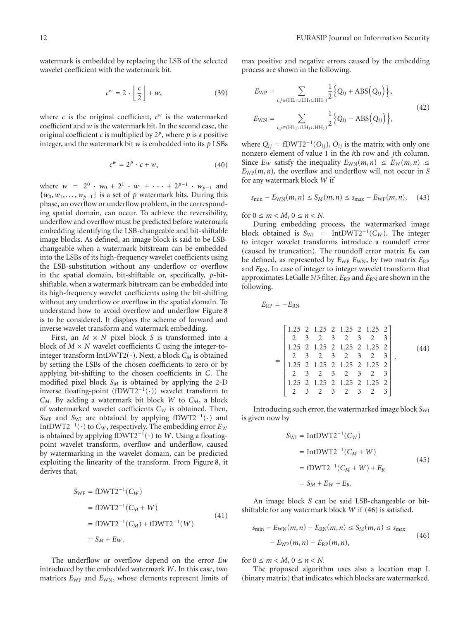watermark is embedded by replacing the LSB of the selected wavelet coefficient with the watermark bit.

$$
c^w = 2 \cdot \left\lfloor \frac{c}{2} \right\rfloor + w,\tag{39}
$$

where  $c$  is the original coefficient,  $c^w$  is the watermarked coefficient and *w* is the watermark bit. In the second case, the original coefficient *c* is multiplied by  $2^p$ , where *p* is a positive integer, and the watermark bit *w* is embedded into its *p* LSBs

$$
c^w = 2^p \cdot c + w,\tag{40}
$$

where  $w = 2^0 \cdot w_0 + 2^1 \cdot w_1 + \cdots + 2^{p-1} \cdot w_{p-1}$  and  $\{w_0, w_1, \ldots, w_{p-1}\}\$ is a set of *p* watermark bits. During this phase, an overflow or underflow problem, in the corresponding spatial domain, can occur. To achieve the reversibility, underflow and overflow must be predicted before watermark embedding identifying the LSB-changeable and bit-shiftable image blocks. As defined, an image block is said to be LSBchangeable when a watermark bitstream can be embedded into the LSBs of its high-frequency wavelet coefficients using the LSB-substitution without any underflow or overflow in the spatial domain, bit-shiftable or, specifically, *p*-bitshiftable, when a watermark bitstream can be embedded into its high-frequency wavelet coefficients using the bit-shifting without any underflow or overflow in the spatial domain. To understand how to avoid overflow and underflow Figure 8 is to be considered. It displays the scheme of forward and inverse wavelet transform and watermark embedding.

First, an  $M \times N$  pixel block *S* is transformed into a block of  $M \times N$  wavelet coefficients C using the integer-tointeger transform IntDWT2( $\cdot$ ). Next, a block  $C_M$  is obtained by setting the LSBs of the chosen coefficients to zero or by applying bit-shifting to the chosen coefficients in *C*. The modified pixel block  $S_M$  is obtained by applying the 2-D inverse floating-point (fDWT2<sup>-1</sup>(·)) wavelet transform to *CM*. By adding a watermark bit block *W* to *CM*, a block of watermarked wavelet coefficients *CW* is obtained. Then, *<sup>S</sup>*WF and *<sup>S</sup>*WI are obtained by applying fDWT2−1(·) and IntDWT2−1(·) to *CW* , respectively. The embedding error *EW* is obtained by applying fDWT2−1(·) to *<sup>W</sup>*. Using a floatingpoint wavelet transform, overflow and underflow, caused by watermarking in the wavelet domain, can be predicted exploiting the linearity of the transform. From Figure 8, it derives that,

$$
S_{\text{WF}} = f\text{DWT2}^{-1}(C_W)
$$
  
=  $f\text{DWT2}^{-1}(C_M + W)$   
=  $f\text{DWT2}^{-1}(C_M) + f\text{DWT2}^{-1}(W)$   
=  $S_M + E_W.$  (41)

The underflow or overflow depend on the error *Ew* introduced by the embedded watermark *W*. In this case, two matrices  $E_{\text{WP}}$  and  $E_{\text{WN}}$ , whose elements represent limits of max positive and negative errors caused by the embedding process are shown in the following.

$$
E_{\rm WP} = \sum_{i,j \in (HL_1 \cup LH_1 \cup HH_1)} \frac{1}{2} \{Q_{ij} + ABS(Q_{ij})\},
$$
  
\n
$$
E_{\rm WN} = \sum_{i,j \in (HL_1 \cup LH_1 \cup HH_1)} \frac{1}{2} \{Q_{ij} - ABS(Q_{ij})\},
$$
\n(42)

where  $Q_{ij} = fDWT2^{-1}(O_{ij})$ ,  $O_{ij}$  is the matrix with only one nonzero element of value 1 in the *i*th row and *j*th column. Since  $E_W$  satisfy the inequality  $E_{WN}(m, n) \leq E_W(m, n) \leq$  $E_{WP}(m, n)$ , the overflow and underflow will not occur in *S* for any watermark block *W* if

$$
s_{\min} - E_{\text{WN}}(m, n) \leq S_M(m, n) \leq s_{\max} - E_{\text{WP}}(m, n), \quad (43)
$$

for  $0 \le m < M$ ,  $0 \le n < N$ .

During embedding process, the watermarked image block obtained is  $S_{\text{WI}}$  = IntDWT2<sup>-1</sup>( $C_W$ ). The integer to integer wavelet transforms introduce a roundoff error (caused by truncation). The roundoff error matrix  $E_R$  can be defined, as represented by  $E_{WP}$   $E_{WN}$ , by two matrix  $E_{RP}$ and *E*RN. In case of integer to integer wavelet transform that approximates LeGalle 5/3 filter,  $E_{RP}$  and  $E_{RN}$  are shown in the following.

$$
E_{\rm RP} = -E_{\rm RN}
$$

$$
= \begin{bmatrix} 1.25 & 2 & 1.25 & 2 & 1.25 & 2 & 1.25 & 2 \\ 2 & 3 & 2 & 3 & 2 & 3 & 2 & 3 \\ 1.25 & 2 & 1.25 & 2 & 1.25 & 2 & 1.25 & 2 \\ 2 & 3 & 2 & 3 & 2 & 3 & 2 & 3 \\ 1.25 & 2 & 1.25 & 2 & 1.25 & 2 & 1.25 & 2 \\ 2 & 3 & 2 & 3 & 2 & 3 & 2 & 3 \\ 2 & 3 & 2 & 3 & 2 & 3 & 2 & 3 \end{bmatrix}.
$$
 (44)

Introducing such error, the watermarked image block S<sub>WI</sub> is given now by

$$
S_{\text{WI}} = \text{IntDWT2}^{-1}(C_W)
$$
  
= 
$$
\text{IntDWT2}^{-1}(C_M + W)
$$
  
= 
$$
\text{fDWT2}^{-1}(C_M + W) + E_R
$$
  
= 
$$
S_M + E_W + E_R.
$$
 (45)

An image block *S* can be said LSB-changeable or bitshiftable for any watermark block *W* if (46) is satisfied.

$$
s_{\min} - E_{\text{WN}}(m, n) - E_{\text{RN}}(m, n) \leq S_M(m, n) \leq s_{\max}
$$
  
- 
$$
E_{\text{WP}}(m, n) - E_{\text{RP}}(m, n),
$$
 (46)

for  $0 \le m < M$ ,  $0 \le n < N$ .

The proposed algorithm uses also a location map L (binary matrix) that indicates which blocks are watermarked.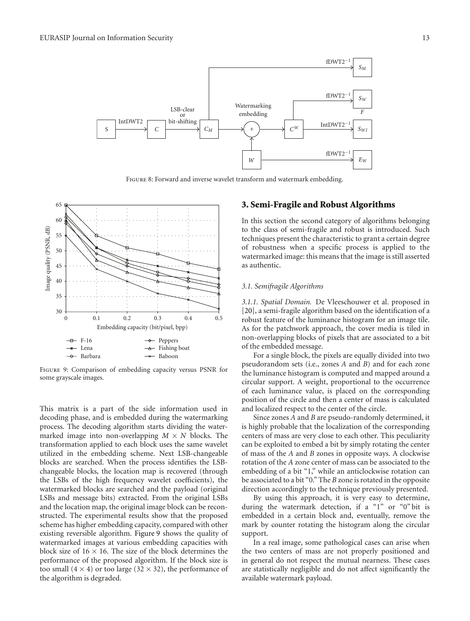

Figure 8: Forward and inverse wavelet transform and watermark embedding.



Figure 9: Comparison of embedding capacity versus PSNR for some grayscale images.

This matrix is a part of the side information used in decoding phase, and is embedded during the watermarking process. The decoding algorithm starts dividing the watermarked image into non-overlapping  $M \times N$  blocks. The transformation applied to each block uses the same wavelet utilized in the embedding scheme. Next LSB-changeable blocks are searched. When the process identifies the LSBchangeable blocks, the location map is recovered (through the LSBs of the high frequency wavelet coefficients), the watermarked blocks are searched and the payload (original LSBs and message bits) extracted. From the original LSBs and the location map, the original image block can be reconstructed. The experimental results show that the proposed scheme has higher embedding capacity, compared with other existing reversible algorithm. Figure 9 shows the quality of watermarked images at various embedding capacities with block size of  $16 \times 16$ . The size of the block determines the performance of the proposed algorithm. If the block size is too small  $(4 \times 4)$  or too large  $(32 \times 32)$ , the performance of the algorithm is degraded.

## **3. Semi-Fragile and Robust Algorithms**

In this section the second category of algorithms belonging to the class of semi-fragile and robust is introduced. Such techniques present the characteristic to grant a certain degree of robustness when a specific process is applied to the watermarked image: this means that the image is still asserted as authentic.

### *3.1. Semifragile Algorithms*

*3.1.1. Spatial Domain.* De Vleeschouwer et al. proposed in [20], a semi-fragile algorithm based on the identification of a robust feature of the luminance histogram for an image tile. As for the patchwork approach, the cover media is tiled in non-overlapping blocks of pixels that are associated to a bit of the embedded message.

For a single block, the pixels are equally divided into two pseudorandom sets (i.e., zones *A* and *B*) and for each zone the luminance histogram is computed and mapped around a circular support. A weight, proportional to the occurrence of each luminance value, is placed on the corresponding position of the circle and then a center of mass is calculated and localized respect to the center of the circle.

Since zones *A* and *B* are pseudo-randomly determined, it is highly probable that the localization of the corresponding centers of mass are very close to each other. This peculiarity can be exploited to embed a bit by simply rotating the center of mass of the *A* and *B* zones in opposite ways. A clockwise rotation of the *A* zone center of mass can be associated to the embedding of a bit "1," while an anticlockwise rotation can be associated to a bit "0." The *B* zone is rotated in the opposite direction accordingly to the technique previously presented.

By using this approach, it is very easy to determine, during the watermark detection, if a "1" or "0" bit is embedded in a certain block and, eventually, remove the mark by counter rotating the histogram along the circular support.

In a real image, some pathological cases can arise when the two centers of mass are not properly positioned and in general do not respect the mutual nearness. These cases are statistically negligible and do not affect significantly the available watermark payload.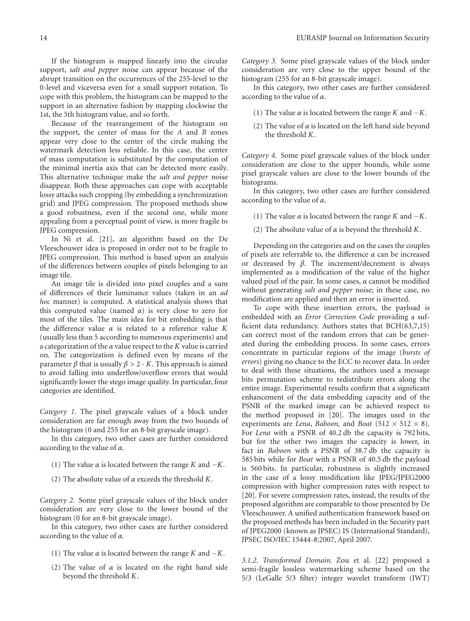If the histogram is mapped linearly into the circular support, *salt and pepper* noise can appear because of the abrupt transition on the occurrences of the 255-level to the 0-level and viceversa even for a small support rotation. To cope with this problem, the histogram can be mapped to the support in an alternative fashion by mapping clockwise the 1st, the 5th histogram value, and so forth.

Because of the rearrangement of the histogram on the support, the center of mass for the *A* and *B* zones appear very close to the center of the circle making the watermark detection less reliable. In this case, the center of mass computation is substituted by the computation of the minimal inertia axis that can be detected more easily. This alternative technique make the *salt and pepper* noise disappear. Both these approaches can cope with acceptable lossy attacks such cropping (by embedding a synchronization grid) and JPEG compression. The proposed methods show a good robustness, even if the second one, while more appealing from a perceptual point of view, is more fragile to JPEG compression.

In Ni et al. [21], an algorithm based on the De Vleeschouwer idea is proposed in order not to be fragile to JPEG compression. This method is based upon an analysis of the differences between couples of pixels belonging to an image tile.

An image tile is divided into pixel couples and a sum of differences of their luminance values (taken in an *ad hoc* manner) is computed. A statistical analysis shows that this computed value (named *α*) is very close to zero for most of the tiles. The main idea for bit embedding is that the difference value *α* is related to a reference value *K* (usually less than 5 according to numerous experiments) and a categorization of the *α* value respect to the *K* value is carried on. The categorization is defined even by means of the parameter *<sup>β</sup>* that is usually *β >* <sup>2</sup> · *<sup>K</sup>*. This approach is aimed to avoid falling into underflow/overflow errors that would significantly lower the stego image quality. In particular, four categories are identified.

*Category 1.* The pixel grayscale values of a block under consideration are far enough away from the two bounds of the histogram (0 and 255 for an 8-bit grayscale image).

In this category, two other cases are further considered according to the value of *α*.

- (1) The value *<sup>α</sup>* is located between the range *<sup>K</sup>* and <sup>−</sup>*K*.
- (2) The absolute value of *α* exceeds the threshold *K*.

*Category 2.* Some pixel grayscale values of the block under consideration are very close to the lower bound of the histogram (0 for an 8-bit grayscale image).

In this category, two other cases are further considered according to the value of *α*.

- (1) The value *<sup>α</sup>* is located between the range *<sup>K</sup>* and <sup>−</sup>*K*.
- (2) The value of  $\alpha$  is located on the right hand side beyond the threshold *K*.

*Category 3.* Some pixel grayscale values of the block under consideration are very close to the upper bound of the histogram (255 for an 8-bit grayscale image).

In this category, two other cases are further considered according to the value of *α*.

- (1) The value *<sup>α</sup>* is located between the range *<sup>K</sup>* and <sup>−</sup>*K*.
- (2) The value of *α* is located on the left hand side beyond the threshold *K*.

*Category 4.* Some pixel grayscale values of the block under consideration are close to the upper bounds, while some pixel grayscale values are close to the lower bounds of the histograms.

In this category, two other cases are further considered according to the value of *α*.

- (1) The value  $\alpha$  is located between the range *K* and  $-K$ .
- (2) The absolute value of *α* is beyond the threshold *K*.

Depending on the categories and on the cases the couples of pixels are referrable to, the difference *α* can be increased or decreased by *β*. The increment/decrement is always implemented as a modification of the value of the higher valued pixel of the pair. In some cases, *α* cannot be modified without generating *salt and pepper* noise; in these case, no modification are applied and then an error is inserted.

To cope with these insertion errors, the payload is embedded with an *Error Correction Code* providing a sufficient data redundancy. Authors states that BCH(63,7,15) can correct most of the random errors that can be generated during the embedding process. In some cases, errors concentrate in particular regions of the image (*bursts of errors*) giving no chance to the ECC to recover data. In order to deal with these situations, the authors used a message bits permutation scheme to redistribute errors along the entire image. Experimental results confirm that a significant enhancement of the data embedding capacity and of the PSNR of the marked image can be achieved respect to the method proposed in [20]. The images used in the experiments are *Lena*, *Baboon*, and *Boat* (512  $\times$  512  $\times$  8). For *Lena* with a PSNR of 40.2 db the capacity is 792 bits, but for the other two images the capacity is lower, in fact in *Baboon* with a PSNR of 38.7 db the capacity is 585 bits while for *Boat* with a PSNR of 40.5 db the payload is 560 bits. In particular, robustness is slightly increased in the case of a lossy modification like JPEG/JPEG2000 compression with higher compression rates with respect to [20]. For severe compression rates, instead, the results of the proposed algorithm are comparable to those presented by De Vleeschouwer. A unified authentication framework based on the proposed methods has been included in the Security part of JPEG2000 (known as JPSEC) IS (International Standard), JPSEC ISO/IEC 15444-8:2007, April 2007.

*3.1.2. Transformed Domain.* Zou et al. [22] proposed a semi-fragile lossless watermarking scheme based on the 5/3 (LeGalle 5/3 filter) integer wavelet transform (IWT)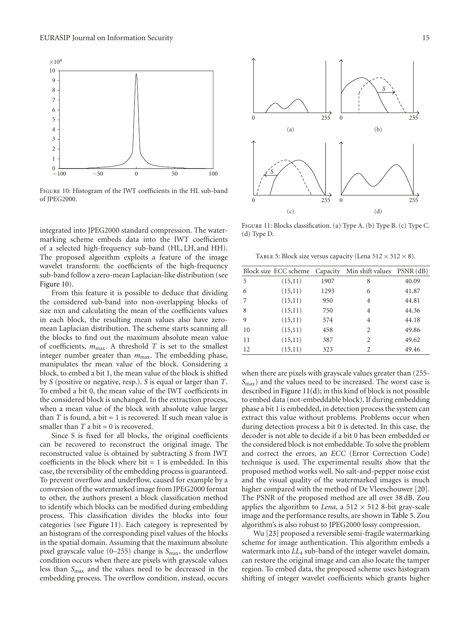

Figure 10: Histogram of the IWT coefficients in the HL sub-band of JPEG2000.

integrated into JPEG2000 standard compression. The watermarking scheme embeds data into the IWT coefficients of a selected high-frequency sub-band (HL, LH, and HH). The proposed algorithm exploits a feature of the image wavelet transform: the coefficients of the high-frequency sub-band follow a zero-mean Laplacian-like distribution (see Figure 10).

From this feature it is possible to deduce that dividing the considered sub-band into non-overlapping blocks of size nxn and calculating the mean of the coefficients values in each block, the resulting mean values also have zeromean Laplacian distribution. The scheme starts scanning all the blocks to find out the maximum absolute mean value of coefficients, *m*max. A threshold *T* is set to the smallest integer number greater than  $m_{\text{max}}$ . The embedding phase, manipulates the mean value of the block. Considering a block, to embed a bit 1, the mean value of the block is shifted by *S* (positive or negative, resp.). *S* is equal or larger than *T*. To embed a bit 0, the mean value of the IWT coefficients in the considered block is unchanged. In the extraction process, when a mean value of the block with absolute value larger than  $T$  is found, a bit  $= 1$  is recovered. If such mean value is smaller than  $T$  a bit = 0 is recovered.

Since S is fixed for all blocks, the original coefficients can be recovered to reconstruct the original image. The reconstructed value is obtained by subtracting *S* from IWT coefficients in the block where  $bit = 1$  is embedded. In this case, the reversibility of the embedding process is guaranteed. To prevent overflow and underflow, caused for example by a conversion of the watermarked image from JPEG2000 format to other, the authors present a block classification method to identify which blocks can be modified during embedding process. This classification divides the blocks into four categories (see Figure 11). Each category is represented by an histogram of the corresponding pixel values of the blocks in the spatial domain. Assuming that the maximum absolute pixel grayscale value (0–255) change is *S*max, the underflow condition occurs when there are pixels with grayscale values less than *S*max and the values need to be decreased in the embedding process. The overflow condition, instead, occurs



Figure 11: Blocks classification. (a) Type A. (b) Type B. (c) Type C. (d) Type D.

TABLE 5: Block size versus capacity (Lena  $512 \times 512 \times 8$ ).

|    | Block size ECC scheme | Capacity | Min shift values $PSNR$ (dB)                                                                                                                                    |       |
|----|-----------------------|----------|-----------------------------------------------------------------------------------------------------------------------------------------------------------------|-------|
| 5  | (15,11)               | 1907     | 8                                                                                                                                                               | 40.09 |
| 6  | (15,11)               | 1293     | 6                                                                                                                                                               | 41.87 |
| 7  | (15,11)               | 950      | 4                                                                                                                                                               | 44.81 |
| 8  | (15,11)               | 750      | 4                                                                                                                                                               | 44.36 |
| 9  | (15,11)               | 574      | 4                                                                                                                                                               | 44.18 |
| 10 | (15,11)               | 458      | $\mathfrak{D}$                                                                                                                                                  | 49.86 |
| 11 | (15,11)               | 387      | $\mathfrak{D}$                                                                                                                                                  | 49.62 |
| 12 | (15,11)               | 323      | $\mathcal{D}_{\mathcal{A}}^{\mathcal{A}}(\mathcal{A})=\mathcal{D}_{\mathcal{A}}^{\mathcal{A}}(\mathcal{A})\mathcal{D}_{\mathcal{A}}^{\mathcal{A}}(\mathcal{A})$ | 49.46 |

when there are pixels with grayscale values greater than (255- *S*max) and the values need to be increased. The worst case is described in Figure 11(d); in this kind of block is not possible to embed data (not-embeddable block). If during embedding phase a bit 1 is embedded, in detection process the system can extract this value without problems. Problems occur when during detection process a bit 0 is detected. In this case, the decoder is not able to decide if a bit 0 has been embedded or the considered block is not embeddable. To solve the problem and correct the errors, an *ECC* (Error Correction Code) technique is used. The experimental results show that the proposed method works well. No salt-and-pepper noise exist and the visual quality of the watermarked images is much higher compared with the method of De Vleeschouwer [20]. The PSNR of the proposed method are all over 38 dB. Zou applies the algorithm to *Lena*, a  $512 \times 512$  8-bit gray-scale image and the performance results, are shown in Table 5. Zou algorithm's is also robust to JPEG2000 lossy compression.

Wu [23] proposed a reversible semi-fragile watermarking scheme for image authentication. This algorithm embeds a watermark into *LL*<sup>4</sup> sub-band of the integer wavelet domain, can restore the original image and can also locate the tamper region. To embed data, the proposed scheme uses histogram shifting of integer wavelet coefficients which grants higher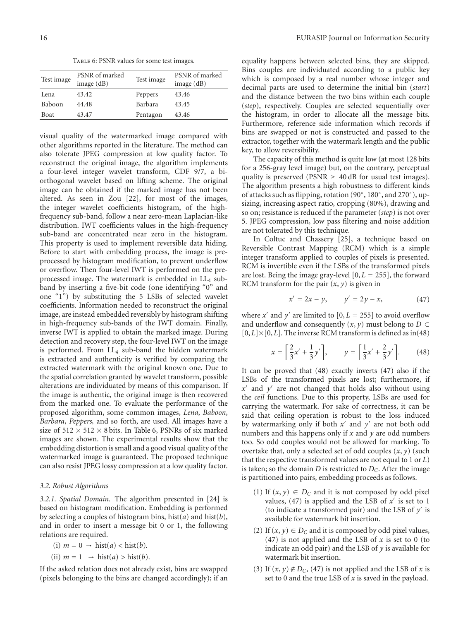Table 6: PSNR values for some test images.

| Test image | PSNR of marked<br>image(dB) | Test image | PSNR of marked<br>image(dB) |
|------------|-----------------------------|------------|-----------------------------|
| Lena       | 43.42                       | Peppers    | 43.46                       |
| Baboon     | 44.48                       | Barbara    | 43.45                       |
| Boat       | 43.47                       | Pentagon   | 43.46                       |

visual quality of the watermarked image compared with other algorithms reported in the literature. The method can also tolerate JPEG compression at low quality factor. To reconstruct the original image, the algorithm implements a four-level integer wavelet transform, CDF 9/7, a biorthogonal wavelet based on lifting scheme. The original image can be obtained if the marked image has not been altered. As seen in Zou [22], for most of the images, the integer wavelet coefficients histogram, of the highfrequency sub-band, follow a near zero-mean Laplacian-like distribution. IWT coefficients values in the high-frequency sub-band are concentrated near zero in the histogram. This property is used to implement reversible data hiding. Before to start with embedding process, the image is preprocessed by histogram modification, to prevent underflow or overflow. Then four-level IWT is performed on the preprocessed image. The watermark is embedded in  $LL<sub>4</sub>$  subband by inserting a five-bit code (one identifying "0" and one "1") by substituting the 5 LSBs of selected wavelet coefficients. Information needed to reconstruct the original image, are instead embedded reversibly by histogram shifting in high-frequency sub-bands of the IWT domain. Finally, inverse IWT is applied to obtain the marked image. During detection and recovery step, the four-level IWT on the image is performed. From  $LL<sub>4</sub>$  sub-band the hidden watermark is extracted and authenticity is verified by comparing the extracted watermark with the original known one. Due to the spatial correlation granted by wavelet transform, possible alterations are individuated by means of this comparison. If the image is authentic, the original image is then recovered from the marked one. To evaluate the performance of the proposed algorithm, some common images, *Lena*, *Baboon*, *Barbara*, *Peppers,* and so forth, are used. All images have a size of  $512 \times 512 \times 8$  bits. In Table 6, PSNRs of six marked images are shown. The experimental results show that the embedding distortion is small and a good visual quality of the watermarked image is guaranteed. The proposed technique can also resist JPEG lossy compression at a low quality factor.

#### *3.2. Robust Algorithms*

*3.2.1. Spatial Domain.* The algorithm presented in [24] is based on histogram modification. Embedding is performed by selecting a couples of histogram bins, hist(*a*) and hist(*b*), and in order to insert a message bit 0 or 1, the following relations are required.

(i) 
$$
m = 0 \rightarrow \text{hist}(a) < \text{hist}(b)
$$
.

(ii) 
$$
m = 1 \rightarrow \text{hist}(a) > \text{hist}(b)
$$
.

If the asked relation does not already exist, bins are swapped (pixels belonging to the bins are changed accordingly); if an

equality happens between selected bins, they are skipped. Bins couples are individuated according to a public key which is composed by a real number whose integer and decimal parts are used to determine the initial bin (*start*) and the distance between the two bins within each couple (*step*), respectively. Couples are selected sequentially over the histogram, in order to allocate all the message bits. Furthermore, reference side information which records if bins are swapped or not is constructed and passed to the extractor, together with the watermark length and the public key, to allow reversibility.

The capacity of this method is quite low (at most 128 bits for a 256-gray level image) but, on the contrary, perceptual quality is preserved (PSNR  $\geq$  40 dB for usual test images). The algorithm presents a high robustness to different kinds of attacks such as flipping, rotation (90◦, 180◦, and 270◦), upsizing, increasing aspect ratio, cropping (80%), drawing and so on; resistance is reduced if the parameter (*step*) is not over 5. JPEG compression, low pass filtering and noise addition are not tolerated by this technique.

In Coltuc and Chassery [25], a technique based on Reversible Contrast Mapping (RCM) which is a simple integer transform applied to couples of pixels is presented. RCM is invertible even if the LSBs of the transformed pixels are lost. Being the image gray-level  $[0, L = 255]$ , the forward RCM transform for the pair  $(x, y)$  is given in

$$
x' = 2x - y, \qquad y' = 2y - x,\tag{47}
$$

where x' and y' are limited to  $[0, L = 255]$  to avoid overflow and underflow and consequently  $(x, y)$  must belong to  $D \subset$  $[0, L] \times [0, L]$ . The inverse RCM transform is defined as in(48)

$$
x = \left[\frac{2}{3}x' + \frac{1}{3}y'\right], \qquad y = \left[\frac{1}{3}x' + \frac{2}{3}y'\right].
$$
 (48)

It can be proved that (48) exactly inverts (47) also if the LSBs of the transformed pixels are lost; furthermore, if *x* and *y* are not changed that holds also without using the *ceil* functions. Due to this property, LSBs are used for carrying the watermark. For sake of correctness, it can be said that ceiling operation is robust to the loss induced by watermarking only if both x' and y' are not both odd numbers and this happens only if *x* and *y* are odd numbers too. So odd couples would not be allowed for marking. To overtake that, only a selected set of odd couples (*x*, *y*) (such that the respective transformed values are not equal to 1 or *L*) is taken; so the domain  $D$  is restricted to  $D<sub>C</sub>$ . After the image is partitioned into pairs, embedding proceeds as follows.

- (1) If  $(x, y) \in D_C$  and it is not composed by odd pixel values,  $(47)$  is applied and the LSB of  $x'$  is set to 1 (to indicate a transformed pair) and the LSB of *y* is available for watermark bit insertion.
- (2) If  $(x, y) \in D_C$  and it is composed by odd pixel values, (47) is not applied and the LSB of *x* is set to 0 (to indicate an odd pair) and the LSB of *y* is available for watermark bit insertion.
- (3) If  $(x, y) \notin D_C$ , (47) is not applied and the LSB of *x* is set to 0 and the true LSB of *x* is saved in the payload.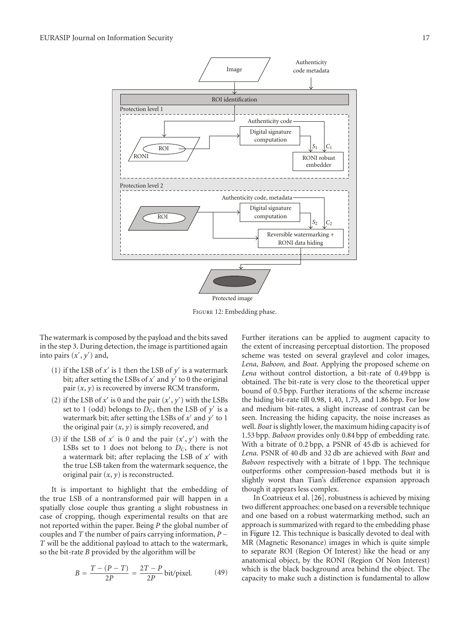

Figure 12: Embedding phase.

The watermark is composed by the payload and the bits saved in the step 3. During detection, the image is partitioned again into pairs  $(x', y')$  and,

- (1) if the LSB of  $x'$  is 1 then the LSB of  $y'$  is a watermark bit; after setting the LSBs of x' and y' to 0 the original pair  $(x, y)$  is recovered by inverse RCM transform,
- (2) if the LSB of  $x'$  is 0 and the pair  $(x', y')$  with the LSBs set to 1 (odd) belongs to  $D_C$ , then the LSB of  $y'$  is a watermark bit; after setting the LSBs of *x'* and *y'* to 1 the original pair  $(x, y)$  is simply recovered, and
- (3) if the LSB of  $x'$  is 0 and the pair  $(x', y')$  with the LSBs set to 1 does not belong to *DC*, there is not a watermark bit; after replacing the LSB of *x'* with the true LSB taken from the watermark sequence, the original pair (*x*, *y*) is reconstructed.

It is important to highlight that the embedding of the true LSB of a nontransformed pair will happen in a spatially close couple thus granting a slight robustness in case of cropping, though experimental results on that are not reported within the paper. Being *P* the global number of couples and *<sup>T</sup>* the number of pairs carrying information, *<sup>P</sup>*<sup>−</sup> *T* will be the additional payload to attach to the watermark, so the bit-rate *B* provided by the algorithm will be

$$
B = \frac{T - (P - T)}{2P} = \frac{2T - P}{2P} \text{ bit/pixel.}
$$
 (49)

Further iterations can be applied to augment capacity to the extent of increasing perceptual distortion. The proposed scheme was tested on several graylevel and color images, *Lena*, *Baboon,* and *Boat*. Applying the proposed scheme on *Lena* without control distortion, a bit-rate of 0.49 bpp is obtained. The bit-rate is very close to the theoretical upper bound of 0.5 bpp. Further iterations of the scheme increase the hiding bit-rate till 0.98, 1.40, 1.73, and 1.86 bpp. For low and medium bit-rates, a slight increase of contrast can be seen. Increasing the hiding capacity, the noise increases as well. *Boat* is slightly lower, the maximum hiding capacity is of 1.53 bpp. *Baboon* provides only 0.84 bpp of embedding rate. With a bitrate of 0.2 bpp, a PSNR of 45 db is achieved for *Lena*. PSNR of 40 db and 32 db are achieved with *Boat* and *Baboon* respectively with a bitrate of 1 bpp. The technique outperforms other compression-based methods but it is slightly worst than Tian's difference expansion approach though it appears less complex.

In Coatrieux et al. [26], robustness is achieved by mixing two different approaches: one based on a reversible technique and one based on a robust watermarking method, such an approach is summarized with regard to the embedding phase in Figure 12. This technique is basically devoted to deal with MR (Magnetic Resonance) images in which is quite simple to separate ROI (Region Of Interest) like the head or any anatomical object, by the RONI (Region Of Non Interest) which is the black background area behind the object. The capacity to make such a distinction is fundamental to allow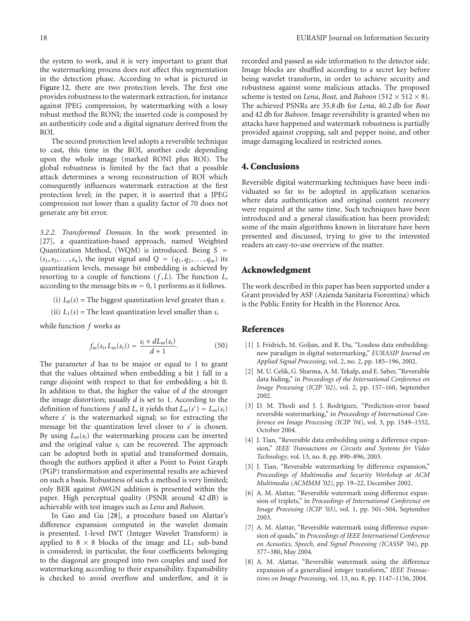the system to work, and it is very important to grant that the watermarking process does not affect this segmentation in the detection phase. According to what is pictured in Figure 12, there are two protection levels. The first one provides robustness to the watermark extraction, for instance against JPEG compression, by watermarking with a lossy robust method the RONI; the inserted code is composed by an authenticity code and a digital signature derived from the ROI.

The second protection level adopts a reversible technique to cast, this time in the ROI, another code depending upon the whole image (marked RONI plus ROI). The global robustness is limited by the fact that a possible attack determines a wrong reconstruction of ROI which consequently influences watermark extraction at the first protection level; in the paper, it is asserted that a JPEG compression not lower than a quality factor of 70 does not generate any bit error.

*3.2.2. Transformed Domain.* In the work presented in [27], a quantization-based approach, named Weighted Quantization Method, (WQM) is introduced. Being *<sup>S</sup>* <sup>=</sup>  $(s_1, s_2, \ldots, s_n)$ , the input signal and  $Q = (q_1, q_2, \ldots, q_m)$  its quantization levels, message bit embedding is achieved by resorting to a couple of functions  $(f, L)$ . The function  $L$ , according to the message bits  $m = 0$ , 1 performs as it follows.

(i)  $L_0(s)$  = The biggest quantization level greater than *s*.

(ii)  $L_1(s)$  = The least quantization level smaller than *s*,

while function *f* works as

$$
f_m(s_i, L_m(s_i)) = \frac{s_i + dL_m(s_i)}{d+1}.
$$
 (50)

The parameter *d* has to be major or equal to 1 to grant that the values obtained when embedding a bit 1 fall in a range disjoint with respect to that for embedding a bit 0. In addition to that, the higher the value of *d* the stronger the image distortion; usually *d* is set to 1. According to the definition of functions *f* and *L*, it yields that  $L_m(s') = L_m(s_i)$ where *s'* is the watermarked signal; so for extracting the message bit the quantization level closer to *s'* is chosen. By using *Lm*(*si*) the watermarking process can be inverted and the original value  $s_i$  can be recovered. The approach can be adopted both in spatial and transformed domain, though the authors applied it after a Point to Point Graph (PGP) transformation and experimental results are achieved on such a basis. Robustness of such a method is very limited; only BER against AWGN addition is presented within the paper. High perceptual quality (PSNR around 42 dB) is achievable with test images such as *Lena* and *Baboon*.

In Gao and Gu [28], a procedure based on Alattar's difference expansion computed in the wavelet domain is presented. 1-level IWT (Integer Wavelet Transform) is applied to  $8 \times 8$  blocks of the image and  $LL_1$  sub-band is considered; in particular, the four coefficients belonging to the diagonal are grouped into two couples and used for watermarking according to their expansibility. Expansibility is checked to avoid overflow and underflow, and it is recorded and passed as side information to the detector side. Image blocks are shuffled according to a secret key before being wavelet transform, in order to achieve security and robustness against some malicious attacks. The proposed scheme is tested on *Lena*, *Boat*, and *Baboon* (512  $\times$  512  $\times$  8). The achieved PSNRs are 35.8 db for *Lena*, 40.2 db for *Boat* and 42 db for *Baboon*. Image reversibility is granted when no attacks have happened and watermark robustness is partially provided against cropping, salt and pepper noise, and other image damaging localized in restricted zones.

## **4. Conclusions**

Reversible digital watermarking techniques have been individuated so far to be adopted in application scenarios where data authentication and original content recovery were required at the same time. Such techniques have been introduced and a general classification has been provided; some of the main algorithms known in literature have been presented and discussed, trying to give to the interested readers an easy-to-use overview of the matter.

## **Acknowledgment**

The work described in this paper has been supported under a Grant provided by ASF (Azienda Sanitaria Fiorentina) which is the Public Entity for Health in the Florence Area.

## **References**

- [1] J. Fridrich, M. Goljan, and R. Du, "Lossless data embeddingnew paradigm in digital watermarking," *EURASIP Journal on Applied Signal Processing*, vol. 2, no. 2, pp. 185–196, 2002.
- [2] M. U. Celik, G. Sharma, A. M. Tekalp, and E. Saber, "Reversible data hiding," in *Proceedings of the International Conference on Image Processing (ICIP '02)*, vol. 2, pp. 157–160, September 2002.
- [3] D. M. Thodi and J. J. Rodríguez, "Prediction-error based reversible watermarking," in *Proceedings of International Conference on Image Processing (ICIP '04)*, vol. 3, pp. 1549–1552, October 2004.
- [4] J. Tian, "Reversible data embedding using a difference expansion," *IEEE Transactions on Circuits and Systems for Video Technology*, vol. 13, no. 8, pp. 890–896, 2003.
- [5] J. Tian, "Reversible watermarking by difference expansion," *Proceedings of Multimedia and Security Workshop at ACM Multimedia (ACMMM '02)*, pp. 19–22, December 2002.
- [6] A. M. Alattar, "Reversible watermark using difference expansion of triplets," in *Proceedings of International Conference on Image Processing (ICIP '03)*, vol. 1, pp. 501–504, September 2003.
- [7] A. M. Alattar, "Reversible watermark using difference expansion of quads," in *Proceedings of IEEE International Conference on Acoustics, Speech, and Signal Processing (ICASSP '04)*, pp. 377–380, May 2004.
- [8] A. M. Alattar, "Reversible watermark using the difference expansion of a generalized integer transform," *IEEE Transactions on Image Processing*, vol. 13, no. 8, pp. 1147–1156, 2004.